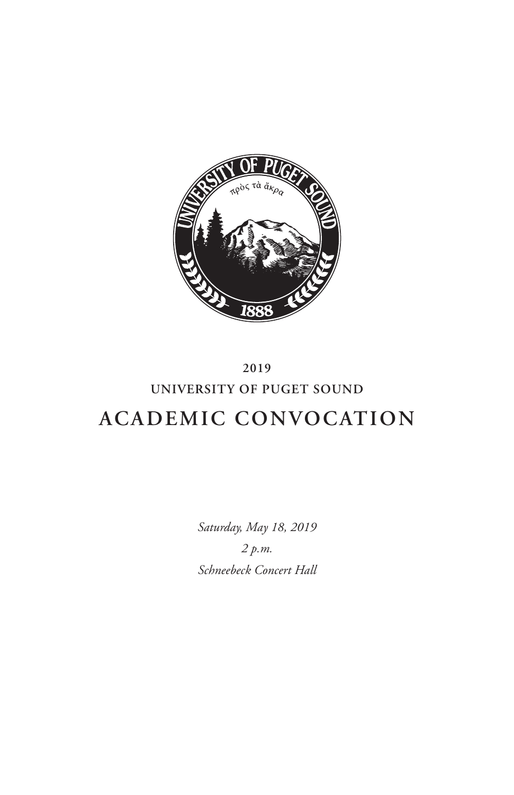

# **2019 UNIVERSITY OF PUGET SOUND ACADEMIC CONVOCATION**

*Saturday, May 18, 2019 2 p.m. Schneebeck Concert Hall*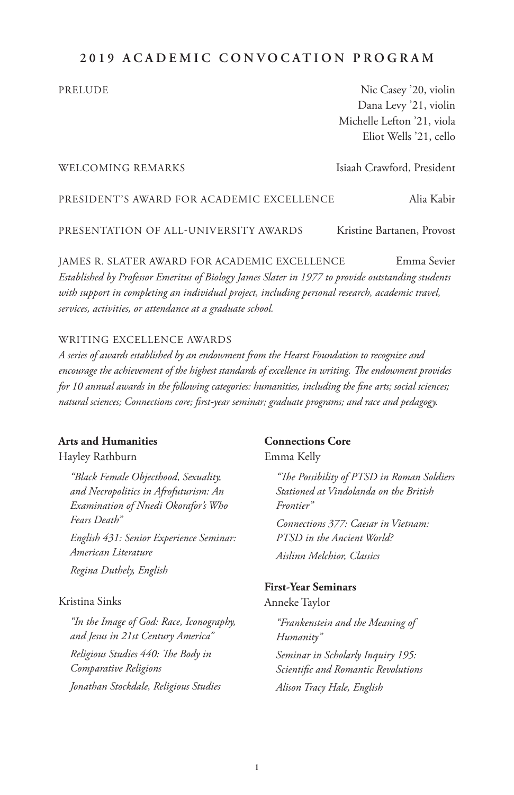# **2019 ACADEMIC CONVOCATION PROGRAM**

PRELUDE Nic Casey '20, violin Dana Levy '21, violin Michelle Lefton '21, viola Eliot Wells '21, cello

#### WELCOMING REMARKS Isiaah Crawford, President

PRESIDENT'S AWARD FOR ACADEMIC EXCELLENCE Alia Kabir

PRESENTATION OF ALL-UNIVERSITY AWARDS Kristine Bartanen, Provost

JAMES R. SLATER AWARD FOR ACADEMIC EXCELLENCE Emma Sevier *Established by Professor Emeritus of Biology James Slater in 1977 to provide outstanding students with support in completing an individual project, including personal research, academic travel, services, activities, or attendance at a graduate school.*

#### WRITING EXCELLENCE AWARDS

*A series of awards established by an endowment from the Hearst Foundation to recognize and encourage the achievement of the highest standards of excellence in writing. The endowment provides for 10 annual awards in the following categories: humanities, including the fine arts; social sciences; natural sciences; Connections core; first-year seminar; graduate programs; and race and pedagogy.*

#### **Arts and Humanities**

Hayley Rathburn

*"Black Female Objecthood, Sexuality, and Necropolitics in Afrofuturism: An Examination of Nnedi Okorafor's Who Fears Death"*

*English 431: Senior Experience Seminar: American Literature Regina Duthely, English*

#### Kristina Sinks

*"In the Image of God: Race, Iconography, and Jesus in 21st Century America" Religious Studies 440: The Body in Comparative Religions Jonathan Stockdale, Religious Studies*

#### **Connections Core**

Emma Kelly

*"The Possibility of PTSD in Roman Soldiers Stationed at Vindolanda on the British Frontier" Connections 377: Caesar in Vietnam: PTSD in the Ancient World? Aislinn Melchior, Classics*

#### **First-Year Seminars**

Anneke Taylor

*"Frankenstein and the Meaning of Humanity" Seminar in Scholarly Inquiry 195: Scientific and Romantic Revolutions Alison Tracy Hale, English*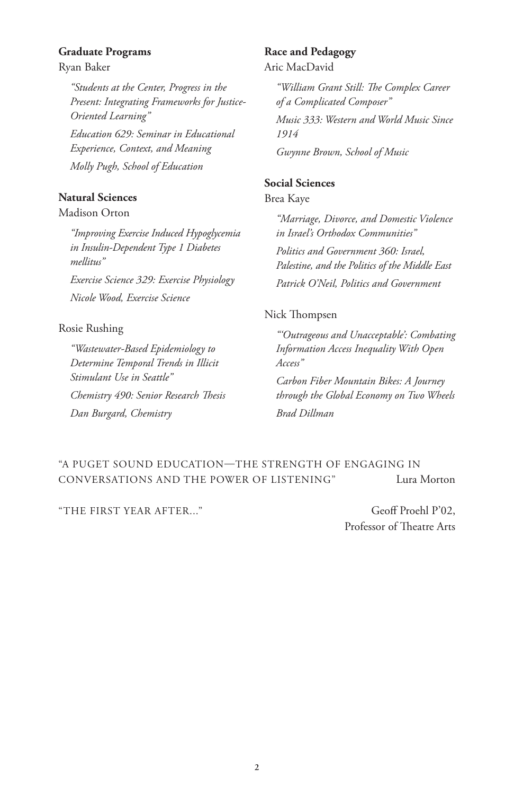#### **Graduate Programs**

Ryan Baker

*"Students at the Center, Progress in the Present: Integrating Frameworks for Justice-Oriented Learning" Education 629: Seminar in Educational Experience, Context, and Meaning Molly Pugh, School of Education*

# **Natural Sciences**

#### Madison Orton

*"Improving Exercise Induced Hypoglycemia in Insulin-Dependent Type 1 Diabetes mellitus"*

*Exercise Science 329: Exercise Physiology Nicole Wood, Exercise Science*

#### Rosie Rushing

*"Wastewater-Based Epidemiology to Determine Temporal Trends in Illicit Stimulant Use in Seattle" Chemistry 490: Senior Research Thesis Dan Burgard, Chemistry*

#### **Race and Pedagogy** Aric MacDavid

*"William Grant Still: The Complex Career of a Complicated Composer"*

*Music 333: Western and World Music Since 1914* 

*Gwynne Brown, School of Music*

# **Social Sciences**

# Brea Kaye

*"Marriage, Divorce, and Domestic Violence in Israel's Orthodox Communities" Politics and Government 360: Israel, Palestine, and the Politics of the Middle East Patrick O'Neil, Politics and Government*

#### Nick Thompsen

*"'Outrageous and Unacceptable': Combating Information Access Inequality With Open Access"*

*Carbon Fiber Mountain Bikes: A Journey through the Global Economy on Two Wheels Brad Dillman*

# "A PUGET SOUND EDUCATION—THE STRENGTH OF ENGAGING IN CONVERSATIONS AND THE POWER OF LISTENING" Lura Morton

"THE FIRST YEAR AFTER..." Geoff Proehl P'02,

Professor of Theatre Arts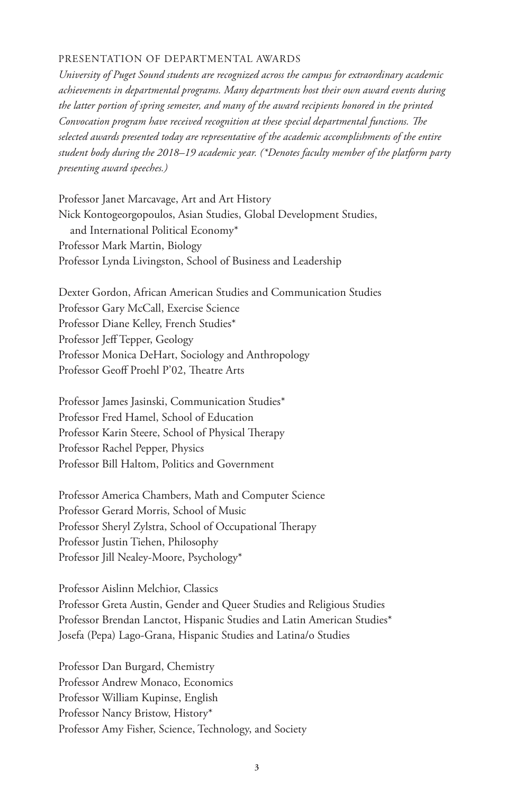#### PRESENTATION OF DEPARTMENTAL AWARDS

*University of Puget Sound students are recognized across the campus for extraordinary academic achievements in departmental programs. Many departments host their own award events during the latter portion of spring semester, and many of the award recipients honored in the printed Convocation program have received recognition at these special departmental functions. The selected awards presented today are representative of the academic accomplishments of the entire student body during the 2018–19 academic year. (\*Denotes faculty member of the platform party presenting award speeches.)*

Professor Janet Marcavage, Art and Art History Nick Kontogeorgopoulos, Asian Studies, Global Development Studies, and International Political Economy\* Professor Mark Martin, Biology Professor Lynda Livingston, School of Business and Leadership

Dexter Gordon, African American Studies and Communication Studies Professor Gary McCall, Exercise Science Professor Diane Kelley, French Studies\* Professor Jeff Tepper, Geology Professor Monica DeHart, Sociology and Anthropology Professor Geoff Proehl P'02, Theatre Arts

Professor James Jasinski, Communication Studies\* Professor Fred Hamel, School of Education Professor Karin Steere, School of Physical Therapy Professor Rachel Pepper, Physics Professor Bill Haltom, Politics and Government

Professor America Chambers, Math and Computer Science Professor Gerard Morris, School of Music Professor Sheryl Zylstra, School of Occupational Therapy Professor Justin Tiehen, Philosophy Professor Jill Nealey-Moore, Psychology\*

Professor Aislinn Melchior, Classics Professor Greta Austin, Gender and Queer Studies and Religious Studies Professor Brendan Lanctot, Hispanic Studies and Latin American Studies\* Josefa (Pepa) Lago-Grana, Hispanic Studies and Latina/o Studies

Professor Dan Burgard, Chemistry Professor Andrew Monaco, Economics Professor William Kupinse, English Professor Nancy Bristow, History\* Professor Amy Fisher, Science, Technology, and Society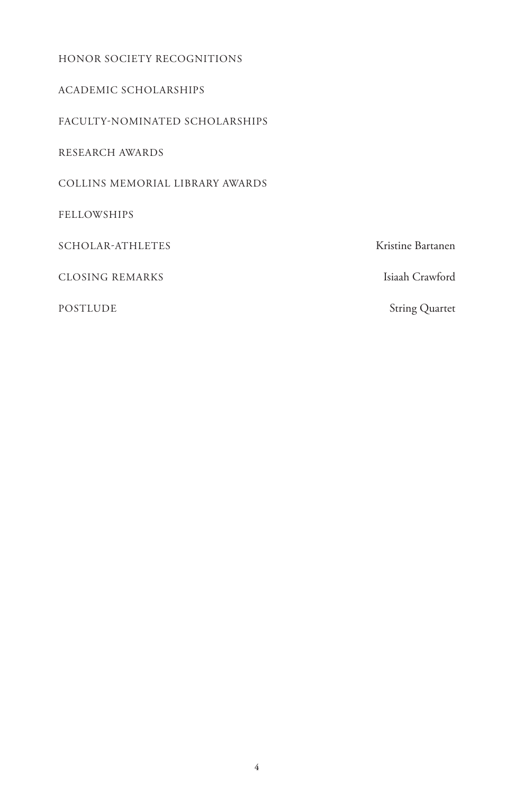# HONOR SOCIETY RECOGNITIONS ACADEMIC SCHOLARSHIPS FACULTY-NOMINATED SCHOLARSHIPS RESEARCH AWARDS COLLINS MEMORIAL LIBRARY AWARDS

FELLOWSHIPS

SCHOLAR-ATHLETES Kristine Bartanen

CLOSING REMARKS Isiaah Crawford

POSTLUDE String Quartet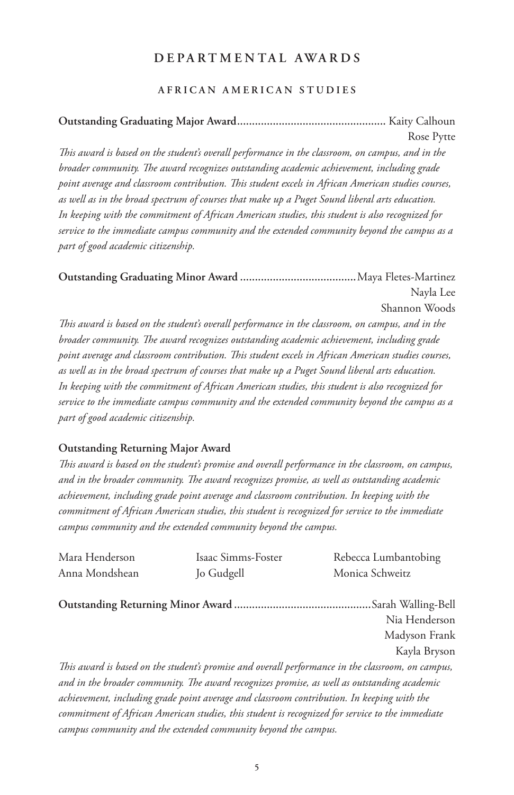# **DEPARTMENTAL AWARDS**

#### **AFRICAN AMERICAN STUDIES**

# **Outstanding Graduating Major Award..................................................** Kaity Calhoun Rose Pytte

*This award is based on the student's overall performance in the classroom, on campus, and in the broader community. The award recognizes outstanding academic achievement, including grade point average and classroom contribution. This student excels in African American studies courses, as well as in the broad spectrum of courses that make up a Puget Sound liberal arts education. In keeping with the commitment of African American studies, this student is also recognized for service to the immediate campus community and the extended community beyond the campus as a part of good academic citizenship.*

```
Outstanding Graduating Minor Award .......................................Maya Fletes-Martinez 
                                                                    Nayla Lee
                                                             Shannon Woods
```
*This award is based on the student's overall performance in the classroom, on campus, and in the broader community. The award recognizes outstanding academic achievement, including grade point average and classroom contribution. This student excels in African American studies courses, as well as in the broad spectrum of courses that make up a Puget Sound liberal arts education. In keeping with the commitment of African American studies, this student is also recognized for service to the immediate campus community and the extended community beyond the campus as a part of good academic citizenship.*

#### **Outstanding Returning Major Award**

*This award is based on the student's promise and overall performance in the classroom, on campus, and in the broader community. The award recognizes promise, as well as outstanding academic achievement, including grade point average and classroom contribution. In keeping with the commitment of African American studies, this student is recognized for service to the immediate campus community and the extended community beyond the campus.*

| Mara Henderson | Isaac Simms-Foster                                                                          | Rebecca Lumbantobing                                                                              |
|----------------|---------------------------------------------------------------------------------------------|---------------------------------------------------------------------------------------------------|
| Anna Mondshean | Jo Gudgell                                                                                  | Monica Schweitz                                                                                   |
|                |                                                                                             |                                                                                                   |
|                |                                                                                             | Nia Henderson                                                                                     |
|                |                                                                                             | Madyson Frank                                                                                     |
|                |                                                                                             | Kayla Bryson                                                                                      |
|                |                                                                                             | This award is based on the student's promise and overall performance in the classroom, on campus, |
|                | and in the broader community. The award recognizes promise, as well as outstanding academic |                                                                                                   |
|                | achievement, including grade point average and classroom contribution. In keeping with the  |                                                                                                   |

*achievement, including grade point average and classroom contribution. In keeping with the commitment of African American studies, this student is recognized for service to the immediate campus community and the extended community beyond the campus.*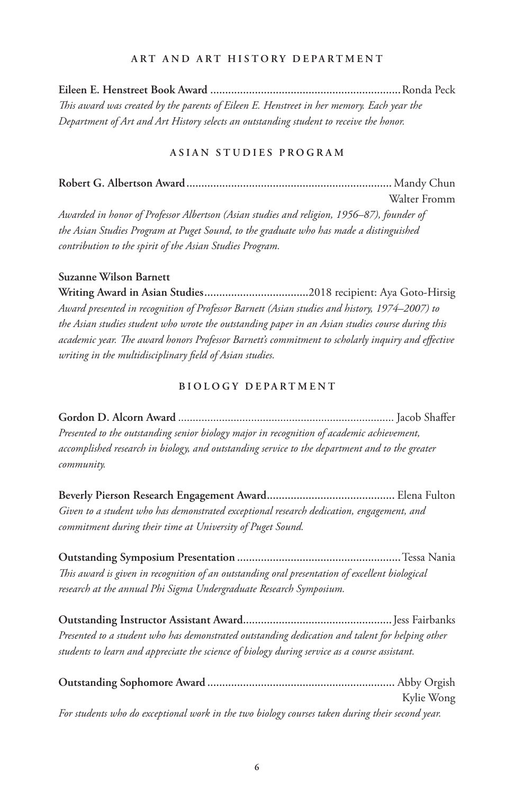#### **ART AND ART HISTORY DEPARTMENT**

**Eileen E. Henstreet Book Award ................................................................**Ronda Peck *This award was created by the parents of Eileen E. Henstreet in her memory. Each year the Department of Art and Art History selects an outstanding student to receive the honor.* 

#### **ASIAN STUDIES PROGRAM**

**Robert G. Albertson Award.....................................................................** Mandy Chun Walter Fromm

*Awarded in honor of Professor Albertson (Asian studies and religion, 1956–87), founder of the Asian Studies Program at Puget Sound, to the graduate who has made a distinguished contribution to the spirit of the Asian Studies Program.*

#### **Suzanne Wilson Barnett**

**Writing Award in Asian Studies...................................**2018 recipient: Aya Goto-Hirsig *Award presented in recognition of Professor Barnett (Asian studies and history, 1974–2007) to the Asian studies student who wrote the outstanding paper in an Asian studies course during this academic year. The award honors Professor Barnett's commitment to scholarly inquiry and effective writing in the multidisciplinary field of Asian studies.*

#### **BIOLOGY DEPARTMENT**

**Gordon D. Alcorn Award** .......................................................................... Jacob Shaffer *Presented to the outstanding senior biology major in recognition of academic achievement, accomplished research in biology, and outstanding service to the department and to the greater community.*

**Beverly Pierson Research Engagement Award...........................................** Elena Fulton *Given to a student who has demonstrated exceptional research dedication, engagement, and commitment during their time at University of Puget Sound.*

**Outstanding Symposium Presentation .......................................................**Tessa Nania *This award is given in recognition of an outstanding oral presentation of excellent biological research at the annual Phi Sigma Undergraduate Research Symposium.*

**Outstanding Instructor Assistant Award..................................................**Jess Fairbanks *Presented to a student who has demonstrated outstanding dedication and talent for helping other students to learn and appreciate the science of biology during service as a course assistant.*

|                                                                                                 | Kylie Wong |
|-------------------------------------------------------------------------------------------------|------------|
| For students who do exceptional work in the two biology courses taken during their second year. |            |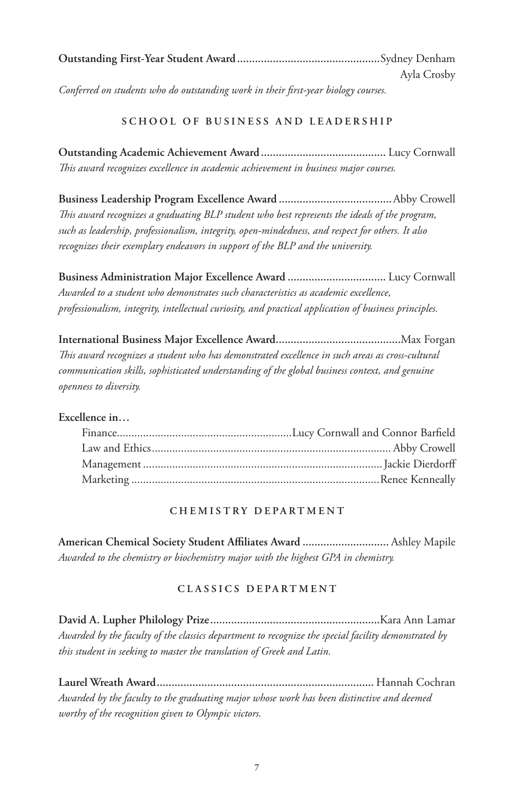| Ayla Crosby |
|-------------|

*Conferred on students who do outstanding work in their first-year biology courses.*

# **SCHOOL OF BUSINESS AND LEADERSHIP**

**Outstanding Academic Achievement Award..........................................** Lucy Cornwall *This award recognizes excellence in academic achievement in business major courses.*

**Business Leadership Program Excellence Award ......................................**Abby Crowell *This award recognizes a graduating BLP student who best represents the ideals of the program, such as leadership, professionalism, integrity, open-mindedness, and respect for others. It also recognizes their exemplary endeavors in support of the BLP and the university.*

**Business Administration Major Excellence Award .................................** Lucy Cornwall *Awarded to a student who demonstrates such characteristics as academic excellence, professionalism, integrity, intellectual curiosity, and practical application of business principles.*

**International Business Major Excellence Award..........................................**Max Forgan *This award recognizes a student who has demonstrated excellence in such areas as cross-cultural communication skills, sophisticated understanding of the global business context, and genuine openness to diversity.*

# **Excellence in…**

# **CHEMISTRY DEPARTMENT**

**American Chemical Society Student Affiliates Award .............................** Ashley Mapile *Awarded to the chemistry or biochemistry major with the highest GPA in chemistry.*

# **CLASSICS DEPARTMENT**

**David A. Lupher Philology Prize.........................................................**Kara Ann Lamar *Awarded by the faculty of the classics department to recognize the special facility demonstrated by this student in seeking to master the translation of Greek and Latin.*

**Laurel Wreath Award.........................................................................** Hannah Cochran *Awarded by the faculty to the graduating major whose work has been distinctive and deemed worthy of the recognition given to Olympic victors.*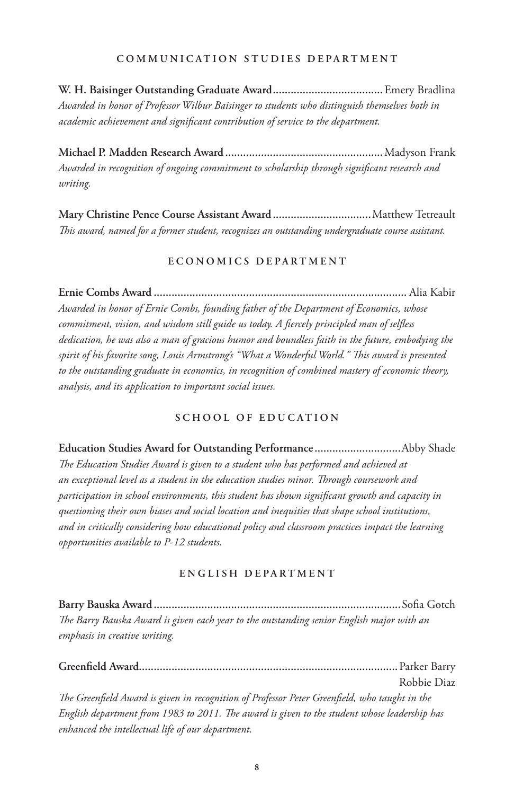#### **COMMUNICATION STUDIES DEPARTMENT**

**W. H. Baisinger Outstanding Graduate Award.....................................**Emery Bradlina *Awarded in honor of Professor Wilbur Baisinger to students who distinguish themselves both in academic achievement and significant contribution of service to the department.*

**Michael P. Madden Research Award .....................................................**Madyson Frank *Awarded in recognition of ongoing commitment to scholarship through significant research and writing.*

**Mary Christine Pence Course Assistant Award .................................**Matthew Tetreault *This award, named for a former student, recognizes an outstanding undergraduate course assistant.*

#### **E C O N O M I C S D E P A R T M E N T**

**Ernie Combs Award .....................................................................................** Alia Kabir *Awarded in honor of Ernie Combs, founding father of the Department of Economics, whose commitment, vision, and wisdom still guide us today. A fiercely principled man of selfless dedication, he was also a man of gracious humor and boundless faith in the future, embodying the spirit of his favorite song, Louis Armstrong's "What a Wonderful World." This award is presented to the outstanding graduate in economics, in recognition of combined mastery of economic theory, analysis, and its application to important social issues.*

# **SCHOOL OF EDUCATION**

**Education Studies Award for Outstanding Performance .............................**Abby Shade *The Education Studies Award is given to a student who has performed and achieved at an exceptional level as a student in the education studies minor. Through coursework and participation in school environments, this student has shown significant growth and capacity in questioning their own biases and social location and inequities that shape school institutions, and in critically considering how educational policy and classroom practices impact the learning opportunities available to P-12 students.*

#### **ENGLISH DEPARTMENT**

**Barry Bauska Award ...................................................................................**Sofia Gotch *The Barry Bauska Award is given each year to the outstanding senior English major with an emphasis in creative writing.*

**Greenfield Award.......................................................................................**Parker Barry Robbie Diaz

*The Greenfield Award is given in recognition of Professor Peter Greenfield, who taught in the English department from 1983 to 2011. The award is given to the student whose leadership has enhanced the intellectual life of our department.*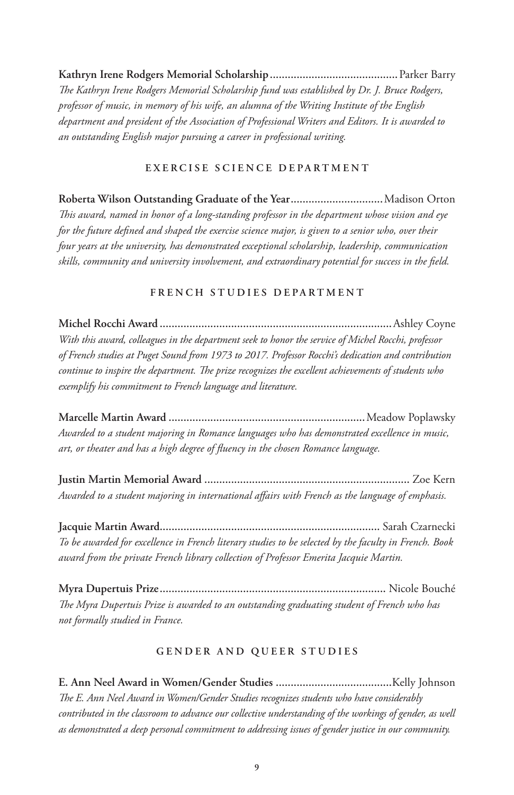**Kathryn Irene Rodgers Memorial Scholarship...........................................**Parker Barry *The Kathryn Irene Rodgers Memorial Scholarship fund was established by Dr. J. Bruce Rodgers, professor of music, in memory of his wife, an alumna of the Writing Institute of the English department and president of the Association of Professional Writers and Editors. It is awarded to an outstanding English major pursuing a career in professional writing.*

#### **EXERCISE SCIENCE DEPARTMENT**

**Roberta Wilson Outstanding Graduate of the Year...............................**Madison Orton *This award, named in honor of a long-standing professor in the department whose vision and eye for the future defined and shaped the exercise science major, is given to a senior who, over their four years at the university, has demonstrated exceptional scholarship, leadership, communication skills, community and university involvement, and extraordinary potential for success in the field.*

#### **FRENCH STUDIES DEPARTMENT**

**Michel Rocchi Award ..............................................................................**Ashley Coyne *With this award, colleagues in the department seek to honor the service of Michel Rocchi, professor of French studies at Puget Sound from 1973 to 2017. Professor Rocchi's dedication and contribution continue to inspire the department. The prize recognizes the excellent achievements of students who exemplify his commitment to French language and literature.*

**Marcelle Martin Award ..................................................................**Meadow Poplawsky *Awarded to a student majoring in Romance languages who has demonstrated excellence in music, art, or theater and has a high degree of fluency in the chosen Romance language.*

**Justin Martin Memorial Award .....................................................................** Zoe Kern *Awarded to a student majoring in international affairs with French as the language of emphasis.*

**Jacquie Martin Award..........................................................................** Sarah Czarnecki *To be awarded for excellence in French literary studies to be selected by the faculty in French. Book award from the private French library collection of Professor Emerita Jacquie Martin.*

**Myra Dupertuis Prize............................................................................** Nicole Bouché *The Myra Dupertuis Prize is awarded to an outstanding graduating student of French who has not formally studied in France.*

#### **GENDER AND QUEER STUDIES**

**E. Ann Neel Award in Women/Gender Studies .......................................**Kelly Johnson *The E. Ann Neel Award in Women/Gender Studies recognizes students who have considerably contributed in the classroom to advance our collective understanding of the workings of gender, as well as demonstrated a deep personal commitment to addressing issues of gender justice in our community.*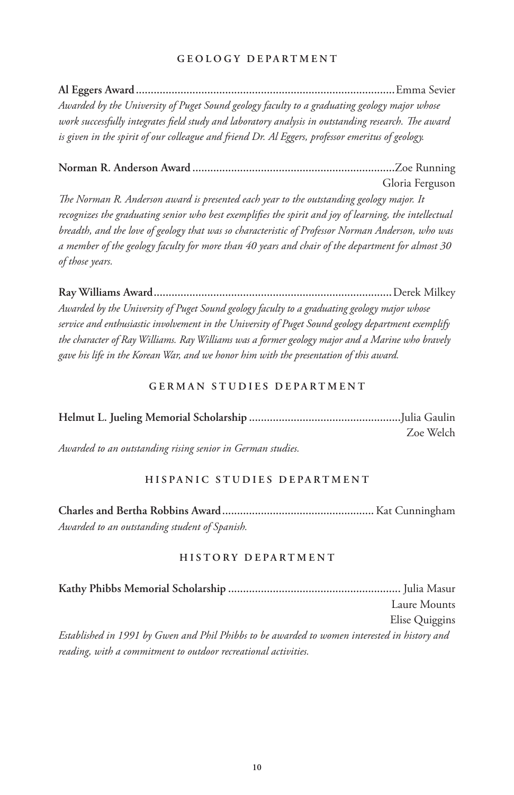#### **GEOLOGY DEPARTMENT**

**Al Eggers Award.......................................................................................**Emma Sevier *Awarded by the University of Puget Sound geology faculty to a graduating geology major whose work successfully integrates field study and laboratory analysis in outstanding research. The award is given in the spirit of our colleague and friend Dr. Al Eggers, professor emeritus of geology.*

**Norman R. Anderson Award ....................................................................**Zoe Running Gloria Ferguson

*The Norman R. Anderson award is presented each year to the outstanding geology major. It recognizes the graduating senior who best exemplifies the spirit and joy of learning, the intellectual breadth, and the love of geology that was so characteristic of Professor Norman Anderson, who was a member of the geology faculty for more than 40 years and chair of the department for almost 30 of those years.*

**Ray Williams Award................................................................................**Derek Milkey *Awarded by the University of Puget Sound geology faculty to a graduating geology major whose service and enthusiastic involvement in the University of Puget Sound geology department exemplify the character of Ray Williams. Ray Williams was a former geology major and a Marine who bravely gave his life in the Korean War, and we honor him with the presentation of this award.*

#### **GERMAN STUDIES DEPARTMENT**

|  |  |  | Zoe Welch |
|--|--|--|-----------|
|  |  |  |           |

*Awarded to an outstanding rising senior in German studies.*

# **HISPANIC STUDIES DEPARTMENT**

**Charles and Bertha Robbins Award...................................................**Kat Cunningham *Awarded to an outstanding student of Spanish.*

#### **HISTORY DEPARTMENT**

**Kathy Phibbs Memorial Scholarship ..........................................................** Julia Masur Laure Mounts Elise Quiggins *Established in 1991 by Gwen and Phil Phibbs to be awarded to women interested in history and reading, with a commitment to outdoor recreational activities.*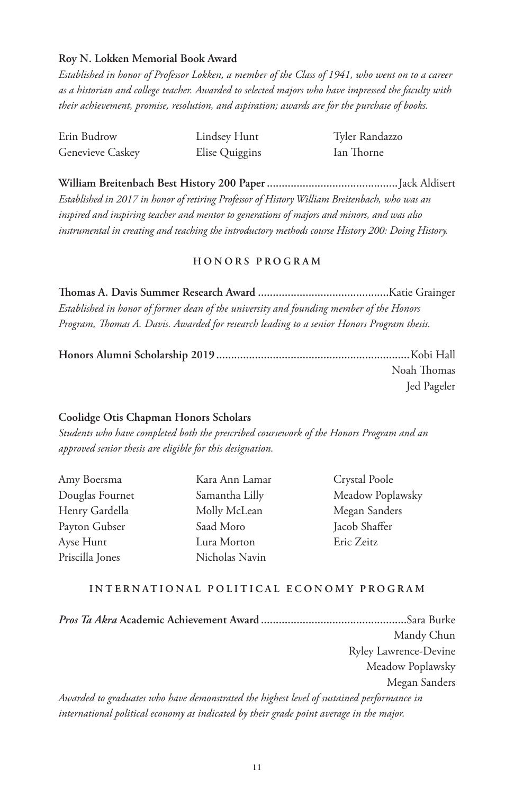#### **Roy N. Lokken Memorial Book Award**

*Established in honor of Professor Lokken, a member of the Class of 1941, who went on to a career as a historian and college teacher. Awarded to selected majors who have impressed the faculty with their achievement, promise, resolution, and aspiration; awards are for the purchase of books.*

| Erin Budrow      | Lindsey Hunt   | Tyler Randazzo |
|------------------|----------------|----------------|
| Genevieve Caskey | Elise Quiggins | Ian Thorne     |

**William Breitenbach Best History 200 Paper............................................**Jack Aldisert *Established in 2017 in honor of retiring Professor of History William Breitenbach, who was an inspired and inspiring teacher and mentor to generations of majors and minors, and was also instrumental in creating and teaching the introductory methods course History 200: Doing History.*

#### **HONORS PROGRAM**

**Thomas A. Davis Summer Research Award ............................................**Katie Grainger *Established in honor of former dean of the university and founding member of the Honors Program, Thomas A. Davis. Awarded for research leading to a senior Honors Program thesis.*

| Noah Thomas |
|-------------|
| Jed Pageler |

#### **Coolidge Otis Chapman Honors Scholars**

*Students who have completed both the prescribed coursework of the Honors Program and an approved senior thesis are eligible for this designation.*

| Amy Boersma     |
|-----------------|
| Douglas Fournet |
| Henry Gardella  |
| Payton Gubser   |
| Ayse Hunt       |
| Priscilla Jones |

Kara Ann Lamar Samantha Lilly Molly McLean Saad Moro Lura Morton Nicholas Navin

Crystal Poole Meadow Poplawsky Megan Sanders Jacob Shaffer Eric Zeitz

#### **INTERNATIONAL POLITICAL ECONOMY PROGRAM**

*Pros Ta Akra* **Academic Achievement Award .................................................**Sara Burke Mandy Chun Ryley Lawrence-Devine Meadow Poplawsky Megan Sanders *Awarded to graduates who have demonstrated the highest level of sustained performance in international political economy as indicated by their grade point average in the major.*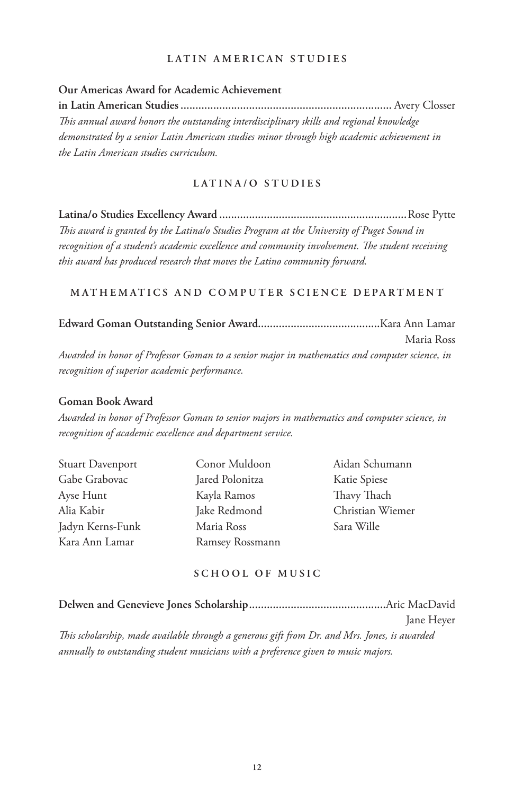#### **LATIN AMERICAN STUDIES**

#### **Our Americas Award for Academic Achievement**

**in Latin American Studies.......................................................................** Avery Closser *This annual award honors the outstanding interdisciplinary skills and regional knowledge demonstrated by a senior Latin American studies minor through high academic achievement in the Latin American studies curriculum.* 

#### **LATINA/O STUDIES**

**Latina/o Studies Excellency Award ...............................................................**Rose Pytte *This award is granted by the Latina/o Studies Program at the University of Puget Sound in recognition of a student's academic excellence and community involvement. The student receiving this award has produced research that moves the Latino community forward.* 

#### **MATHEMATICS AND COMPUTER SCIENCE DEPARTMENT**

|                                                                                               | Maria Ross |
|-----------------------------------------------------------------------------------------------|------------|
| Awarded in honor of Professor Goman to a senior major in mathematics and computer science, in |            |
| recognition of superior academic performance.                                                 |            |

#### **Goman Book Award**

*Awarded in honor of Professor Goman to senior majors in mathematics and computer science, in recognition of academic excellence and department service.*

| Stuart Davenport | Conor Muldoon   | Aidan Schumann   |
|------------------|-----------------|------------------|
| Gabe Grabovac    | Jared Polonitza | Katie Spiese     |
| Ayse Hunt        | Kayla Ramos     | Thavy Thach      |
| Alia Kabir       | Jake Redmond    | Christian Wiemer |
| Jadyn Kerns-Funk | Maria Ross      | Sara Wille       |
| Kara Ann Lamar   | Ramsey Rossmann |                  |

#### **SCHOOL OF MUSIC**

|                                                                                              | Jane Hever |
|----------------------------------------------------------------------------------------------|------------|
| This scholarship, made available through a generous gift from Dr. and Mrs. Jones, is awarded |            |
| annually to outstanding student musicians with a preference given to music majors.           |            |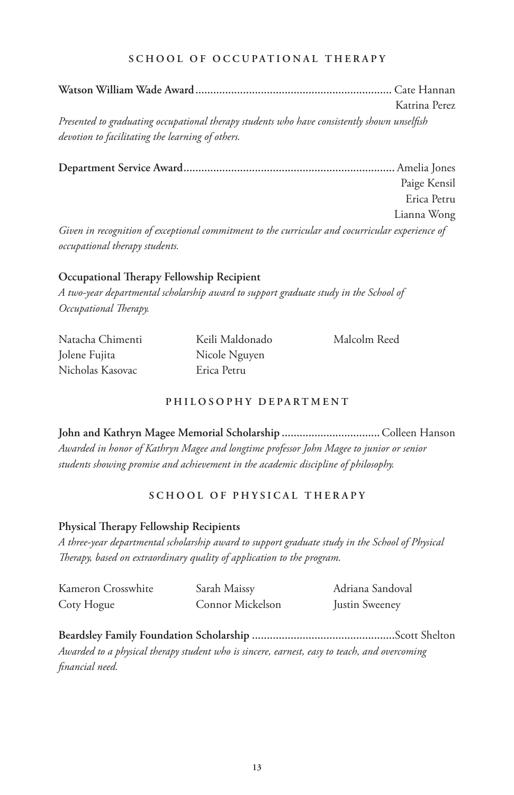#### **SCHOOL OF OCCUPATIONAL THERAPY**

**Watson William Wade Award..................................................................** Cate Hannan Katrina Perez *Presented to graduating occupational therapy students who have consistently shown unselfish devotion to facilitating the learning of others.*

**Department Service Award.......................................................................** Amelia Jones Paige Kensil Erica Petru Lianna Wong *Given in recognition of exceptional commitment to the curricular and cocurricular experience of occupational therapy students.*

# **Occupational Therapy Fellowship Recipient**

*A two-year departmental scholarship award to support graduate study in the School of Occupational Therapy.* 

Natacha Chimenti Jolene Fujita Nicholas Kasovac

Keili Maldonado Nicole Nguyen Erica Petru

Malcolm Reed

### **PHILOSOPHY DEPARTMENT**

**John and Kathryn Magee Memorial Scholarship .................................**Colleen Hanson *Awarded in honor of Kathryn Magee and longtime professor John Magee to junior or senior students showing promise and achievement in the academic discipline of philosophy.*

# **SCHOOL OF PHYSICAL THERAPY**

# **Physical Therapy Fellowship Recipients**

*A three-year departmental scholarship award to support graduate study in the School of Physical Therapy, based on extraordinary quality of application to the program.*

| Kameron Crosswhite | Sarah Maissy     | Adriana Sandoval |
|--------------------|------------------|------------------|
| Coty Hogue         | Connor Mickelson | Justin Sweeney   |

**Beardsley Family Foundation Scholarship ................................................**Scott Shelton *Awarded to a physical therapy student who is sincere, earnest, easy to teach, and overcoming financial need.*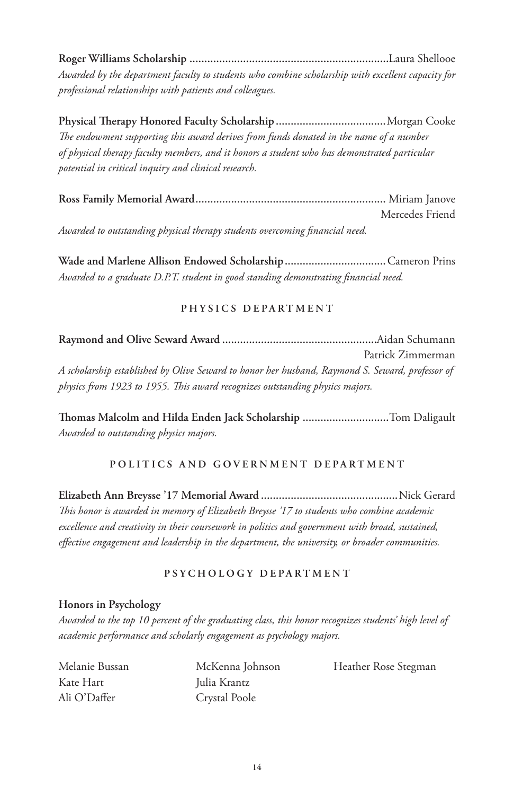**Roger Williams Scholarship ...................................................................**Laura Shellooe *Awarded by the department faculty to students who combine scholarship with excellent capacity for professional relationships with patients and colleagues.*

**Physical Therapy Honored Faculty Scholarship.....................................**Morgan Cooke *The endowment supporting this award derives from funds donated in the name of a number of physical therapy faculty members, and it honors a student who has demonstrated particular potential in critical inquiry and clinical research.*

|                                                                             | Mercedes Friend |
|-----------------------------------------------------------------------------|-----------------|
| Awarded to outstanding physical therapy students overcoming financial need. |                 |

**Wade and Marlene Allison Endowed Scholarship..................................**Cameron Prins *Awarded to a graduate D.P.T. student in good standing demonstrating financial need.*

#### **PHYSICS DEPARTMENT**

**Raymond and Olive Seward Award ....................................................**Aidan Schumann Patrick Zimmerman *A scholarship established by Olive Seward to honor her husband, Raymond S. Seward, professor of physics from 1923 to 1955. This award recognizes outstanding physics majors.*

**Thomas Malcolm and Hilda Enden Jack Scholarship .............................**Tom Daligault *Awarded to outstanding physics majors.*

# **POLITICS AND GOVERNMENT DEPARTMENT**

**Elizabeth Ann Breysse '17 Memorial Award ..............................................**Nick Gerard *This honor is awarded in memory of Elizabeth Breysse '17 to students who combine academic excellence and creativity in their coursework in politics and government with broad, sustained, effective engagement and leadership in the department, the university, or broader communities.*

# **PSYCHOLOGY DEPARTMENT**

#### **Honors in Psychology**

*Awarded to the top 10 percent of the graduating class, this honor recognizes students' high level of academic performance and scholarly engagement as psychology majors.*

| Melanie Bussan | McKenna Johnson | Heather Rose Stegman |
|----------------|-----------------|----------------------|
| Kate Hart      | Julia Krantz    |                      |
| Ali O'Daffer   | Crystal Poole   |                      |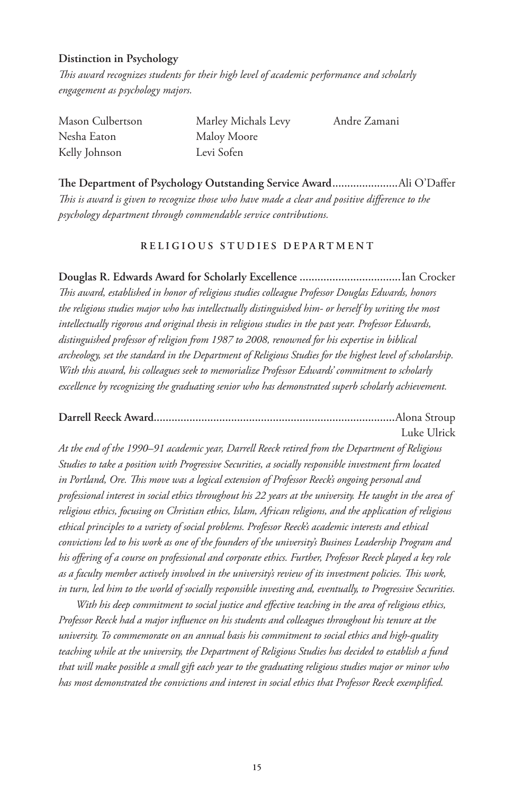#### **Distinction in Psychology**

*This award recognizes students for their high level of academic performance and scholarly engagement as psychology majors.*

| Mason Culbertson | Marley Michals Levy | Andre Zamani |
|------------------|---------------------|--------------|
| Nesha Eaton      | Maloy Moore         |              |
| Kelly Johnson    | Levi Sofen          |              |

**The Department of Psychology Outstanding Service Award......................**Ali O'Daffer *This is award is given to recognize those who have made a clear and positive difference to the psychology department through commendable service contributions.*

#### **RELIGIOUS STUDIES DEPARTMENT**

**Douglas R. Edwards Award for Scholarly Excellence ..................................**Ian Crocker *This award, established in honor of religious studies colleague Professor Douglas Edwards, honors the religious studies major who has intellectually distinguished him- or herself by writing the most intellectually rigorous and original thesis in religious studies in the past year. Professor Edwards, distinguished professor of religion from 1987 to 2008, renowned for his expertise in biblical archeology, set the standard in the Department of Religious Studies for the highest level of scholarship. With this award, his colleagues seek to memorialize Professor Edwards' commitment to scholarly excellence by recognizing the graduating senior who has demonstrated superb scholarly achievement.*

#### **Darrell Reeck Award.................................................................................**Alona Stroup Luke Ulrick

*At the end of the 1990–91 academic year, Darrell Reeck retired from the Department of Religious Studies to take a position with Progressive Securities, a socially responsible investment firm located in Portland, Ore. This move was a logical extension of Professor Reeck's ongoing personal and professional interest in social ethics throughout his 22 years at the university. He taught in the area of religious ethics, focusing on Christian ethics, Islam, African religions, and the application of religious ethical principles to a variety of social problems. Professor Reeck's academic interests and ethical convictions led to his work as one of the founders of the university's Business Leadership Program and his offering of a course on professional and corporate ethics. Further, Professor Reeck played a key role as a faculty member actively involved in the university's review of its investment policies. This work, in turn, led him to the world of socially responsible investing and, eventually, to Progressive Securities.* 

*With his deep commitment to social justice and effective teaching in the area of religious ethics, Professor Reeck had a major influence on his students and colleagues throughout his tenure at the university. To commemorate on an annual basis his commitment to social ethics and high-quality teaching while at the university, the Department of Religious Studies has decided to establish a fund that will make possible a small gift each year to the graduating religious studies major or minor who has most demonstrated the convictions and interest in social ethics that Professor Reeck exemplified.*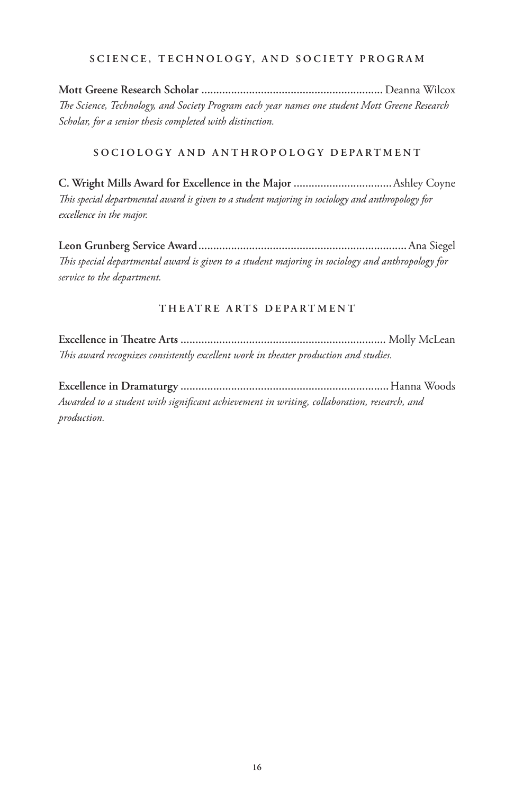#### **SCIENCE, TECHNOLOGY, AND SOCIETY PROGRAM**

**Mott Greene Research Scholar .............................................................** Deanna Wilcox *The Science, Technology, and Society Program each year names one student Mott Greene Research Scholar, for a senior thesis completed with distinction.*

# **SOCIOLOGY AND ANTHROPOLOGY DEPARTMENT**

**C. Wright Mills Award for Excellence in the Major .................................**Ashley Coyne *This special departmental award is given to a student majoring in sociology and anthropology for excellence in the major.*

**Leon Grunberg Service Award......................................................................**Ana Siegel *This special departmental award is given to a student majoring in sociology and anthropology for service to the department.*

#### **THEATRE ARTS DEPARTMENT**

**Excellence in Theatre Arts .....................................................................** Molly McLean *This award recognizes consistently excellent work in theater production and studies.*

**Excellence in Dramaturgy ......................................................................**Hanna Woods *Awarded to a student with significant achievement in writing, collaboration, research, and production.*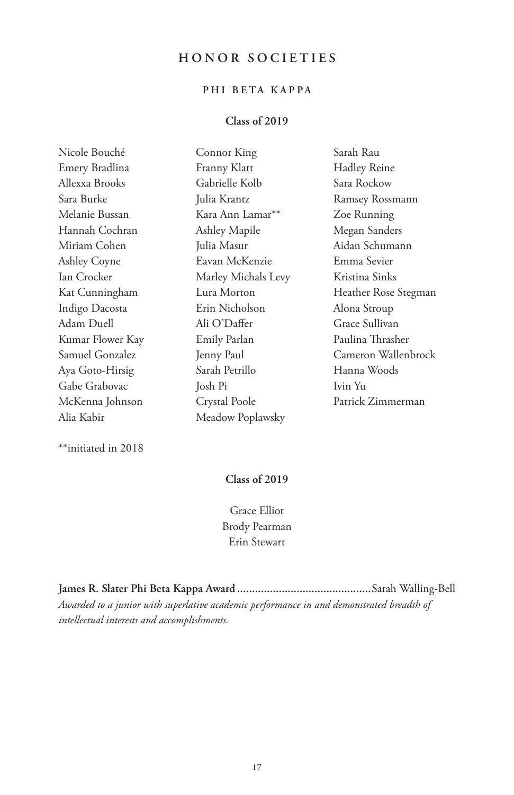# **HONOR SOCIETIES**

# **PHI BETA KAPPA**

## **Class of 2019**

| Nicole Bouché       | Connor King         | Sarah Rau            |
|---------------------|---------------------|----------------------|
| Emery Bradlina      | Franny Klatt        | <b>Hadley Reine</b>  |
| Allexxa Brooks      | Gabrielle Kolb      | Sara Rockow          |
| Sara Burke          | Julia Krantz        | Ramsey Rossmann      |
| Melanie Bussan      | Kara Ann Lamar**    | Zoe Running          |
| Hannah Cochran      | Ashley Mapile       | Megan Sanders        |
| Miriam Cohen        | Julia Masur         | Aidan Schumann       |
| <b>Ashley Coyne</b> | Eavan McKenzie      | Emma Sevier          |
| Ian Crocker         | Marley Michals Levy | Kristina Sinks       |
| Kat Cunningham      | Lura Morton         | Heather Rose Stegman |
| Indigo Dacosta      | Erin Nicholson      | Alona Stroup         |
| Adam Duell          | Ali O'Daffer        | Grace Sullivan       |
| Kumar Flower Kay    | Emily Parlan        | Paulina Thrasher     |
| Samuel Gonzalez     | Jenny Paul          | Cameron Wallenbrock  |
| Aya Goto-Hirsig     | Sarah Petrillo      | Hanna Woods          |
| Gabe Grabovac       | Josh Pi             | Ivin Yu              |
| McKenna Johnson     | Crystal Poole       | Patrick Zimmerman    |
| Alia Kabir          | Meadow Poplawsky    |                      |

\*\*initiated in 2018

# **Class of 2019**

Grace Elliot Brody Pearman Erin Stewart

**James R. Slater Phi Beta Kappa Award .............................................**Sarah Walling-Bell *Awarded to a junior with superlative academic performance in and demonstrated breadth of intellectual interests and accomplishments.*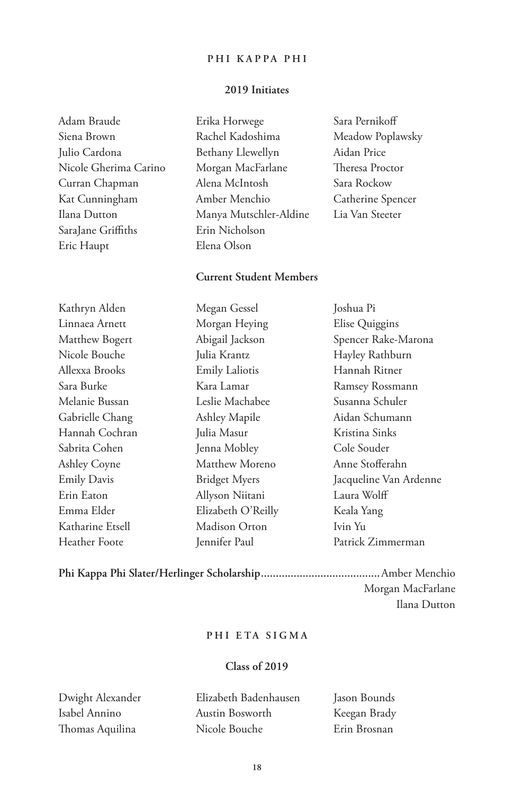#### **PHI KAPPA PHI**

#### **2019 Initiates**

Adam Braude Siena Brown Julio Cardona Nicole Gherima Carino Curran Chapman Kat Cunningham Ilana Dutton SaraJane Griffiths Eric Haupt

Erika Horwege Rachel Kadoshima Bethany Llewellyn Morgan MacFarlane Alena McIntosh Amber Menchio Manya Mutschler-Aldine Erin Nicholson Elena Olson

# Meadow Poplawsky Aidan Price Theresa Proctor Sara Rockow Catherine Spencer Lia Van Steeter

Sara Pernikoff

#### **Current Student Members**

Megan Gessel

Kathryn Alden Linnaea Arnett Matthew Bogert Nicole Bouche Allexxa Brooks Sara Burke Melanie Bussan Gabrielle Chang Hannah Cochran Sabrita Cohen Ashley Coyne Emily Davis Erin Eaton Emma Elder Katharine Etsell Heather Foote

Morgan Heying Abigail Jackson Julia Krantz Emily Laliotis Kara Lamar Leslie Machabee Ashley Mapile Julia Masur Jenna Mobley Matthew Moreno Bridget Myers Allyson Niitani Elizabeth O'Reilly Madison Orton Jennifer Paul

Joshua Pi Elise Quiggins Spencer Rake-Marona Hayley Rathburn Hannah Ritner Ramsey Rossmann Susanna Schuler Aidan Schumann Kristina Sinks Cole Souder Anne Stofferahn Jacqueline Van Ardenne Laura Wolff Keala Yang Ivin Yu Patrick Zimmerman

**Phi Kappa Phi Slater/Herlinger Scholarship........................................**Amber Menchio Morgan MacFarlane Ilana Dutton

#### **PHI ETA SIGMA**

#### **Class of 2019**

Dwight Alexander Isabel Annino Thomas Aquilina

Elizabeth Badenhausen Austin Bosworth Nicole Bouche

Jason Bounds Keegan Brady Erin Brosnan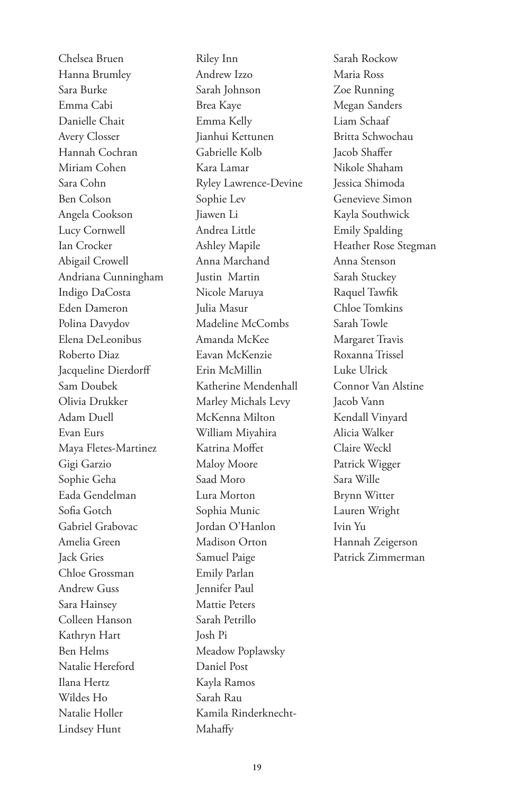Chelsea Bruen Hanna Brumley Sara Burke Emma Cabi Danielle Chait Avery Closser Hannah Cochran Miriam Cohen Sara Cohn Ben Colson Angela Cookson Lucy Cornwell Ian Crocker Abigail Crowell Andriana Cunningham Indigo DaCosta Eden Dameron Polina Davydov Elena DeLeonibus Roberto Diaz Jacqueline Dierdorff Sam Doubek Olivia Drukker Adam Duell Evan Eurs Maya Fletes-Martinez Gigi Garzio Sophie Geha Eada Gendelman Sofia Gotch Gabriel Grabovac Amelia Green Jack Gries Chloe Grossman Andrew Guss Sara Hainsey Colleen Hanson Kathryn Hart Ben Helms Natalie Hereford Ilana Hertz Wildes Ho Natalie Holler Lindsey Hunt

Riley Inn Andrew Izzo Sarah Johnson Brea Kaye Emma Kelly Jianhui Kettunen Gabrielle Kolb Kara Lamar Ryley Lawrence-Devine Sophie Lev Jiawen Li Andrea Little Ashley Mapile Anna Marchand Justin Martin Nicole Maruya Julia Masur Madeline McCombs Amanda McKee Eavan McKenzie Erin McMillin Katherine Mendenhall Marley Michals Levy McKenna Milton William Miyahira Katrina Moffet Maloy Moore Saad Moro Lura Morton Sophia Munic Jordan O'Hanlon Madison Orton Samuel Paige Emily Parlan Jennifer Paul Mattie Peters Sarah Petrillo Josh Pi Meadow Poplawsky Daniel Post Kayla Ramos Sarah Rau Kamila Rinderknecht-Mahaffy

Sarah Rockow Maria Ross Zoe Running Megan Sanders Liam Schaaf Britta Schwochau Jacob Shaffer Nikole Shaham Jessica Shimoda Genevieve Simon Kayla Southwick Emily Spalding Heather Rose Stegman Anna Stenson Sarah Stuckey Raquel Tawfik Chloe Tomkins Sarah Towle Margaret Travis Roxanna Trissel Luke Ulrick Connor Van Alstine Jacob Vann Kendall Vinyard Alicia Walker Claire Weckl Patrick Wigger Sara Wille Brynn Witter Lauren Wright Ivin Yu Hannah Zeigerson Patrick Zimmerman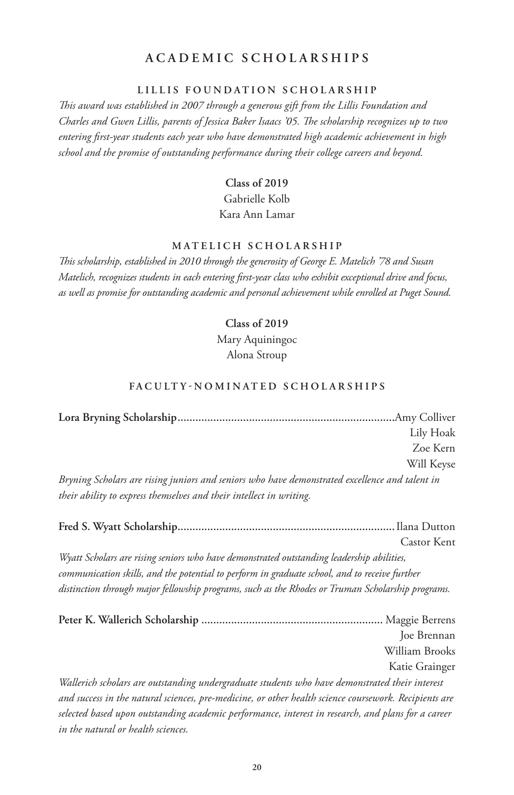# **ACADEMIC SCHOLARSHIPS**

#### **LILLIS FOUNDATION SCHOLARSHIP**

*This award was established in 2007 through a generous gift from the Lillis Foundation and Charles and Gwen Lillis, parents of Jessica Baker Isaacs '05. The scholarship recognizes up to two entering first-year students each year who have demonstrated high academic achievement in high school and the promise of outstanding performance during their college careers and beyond.*

# **Class of 2019** Gabrielle Kolb Kara Ann Lamar

## **MATELICH SCHOLARSHIP**

*This scholarship, established in 2010 through the generosity of George E. Matelich '78 and Susan Matelich, recognizes students in each entering first-year class who exhibit exceptional drive and focus, as well as promise for outstanding academic and personal achievement while enrolled at Puget Sound.*

#### **Class of 2019**

Mary Aquiningoc Alona Stroup

#### FACULTY-NOMINATED SCHOLARSHIPS

|                                                                                                | Lily Hoak  |
|------------------------------------------------------------------------------------------------|------------|
|                                                                                                | Zoe Kern   |
|                                                                                                | Will Keyse |
| Bryning Scholars are rising juniors and seniors who have demonstrated excellence and talent in |            |
| their ability to express themselves and their intellect in writing.                            |            |

|                                                                                                       | Castor Kent    |
|-------------------------------------------------------------------------------------------------------|----------------|
| Wyatt Scholars are rising seniors who have demonstrated outstanding leadership abilities,             |                |
| communication skills, and the potential to perform in graduate school, and to receive further         |                |
| distinction through major fellowship programs, such as the Rhodes or Truman Scholarship programs.     |                |
|                                                                                                       |                |
|                                                                                                       | Joe Brennan    |
|                                                                                                       | William Brooks |
|                                                                                                       | Katie Grainger |
| Wallerich scholars are outstanding undergraduate students who have demonstrated their interest        |                |
| and success in the natural sciences, pre-medicine, or other health science coursework. Recipients are |                |
| selected based upon outstanding academic performance, interest in research, and plans for a career    |                |
| in the natural or health sciences.                                                                    |                |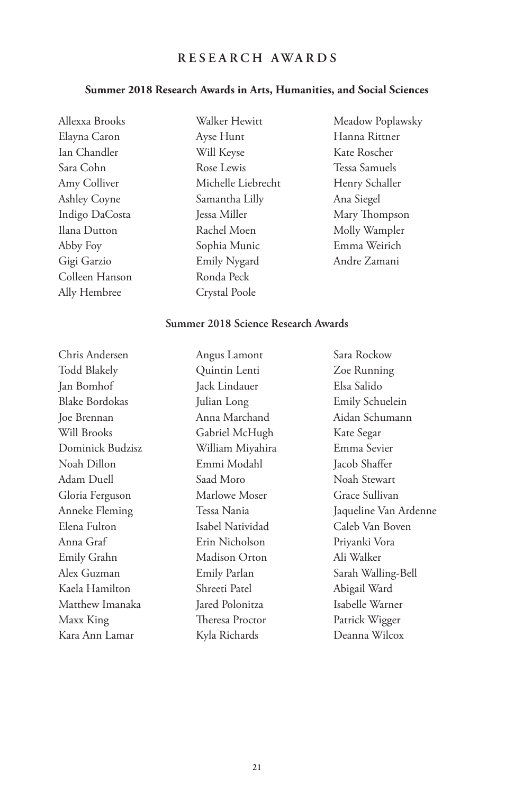# **RESEARCH AWARDS**

#### **Summer 2018 Research Awards in Arts, Humanities, and Social Sciences**

Allexxa Brooks Elayna Caron Ian Chandler Sara Cohn Amy Colliver Ashley Coyne Indigo DaCosta Ilana Dutton Abby Foy Gigi Garzio Colleen Hanson Ally Hembree

Walker Hewitt Ayse Hunt Will Keyse Rose Lewis Michelle Liebrecht Samantha Lilly Jessa Miller Rachel Moen Sophia Munic Emily Nygard Ronda Peck Crystal Poole

Meadow Poplawsky Hanna Rittner Kate Roscher Tessa Samuels Henry Schaller Ana Siegel Mary Thompson Molly Wampler Emma Weirich Andre Zamani

#### **Summer 2018 Science Research Awards**

Chris Andersen Todd Blakely Jan Bomhof Blake Bordokas Joe Brennan Will Brooks Dominick Budzisz Noah Dillon Adam Duell Gloria Ferguson Anneke Fleming Elena Fulton Anna Graf Emily Grahn Alex Guzman Kaela Hamilton Matthew Imanaka Maxx King Kara Ann Lamar Angus Lamont Quintin Lenti Jack Lindauer Julian Long Anna Marchand Gabriel McHugh William Miyahira Emmi Modahl Saad Moro Marlowe Moser Tessa Nania Isabel Natividad Erin Nicholson Madison Orton Emily Parlan Shreeti Patel Jared Polonitza Theresa Proctor Kyla Richards Sara Rockow Zoe Running Elsa Salido Emily Schuelein Aidan Schumann Kate Segar Emma Sevier Jacob Shaffer Noah Stewart Grace Sullivan Jaqueline Van Ardenne Caleb Van Boven Priyanki Vora Ali Walker Sarah Walling-Bell Abigail Ward Isabelle Warner Patrick Wigger Deanna Wilcox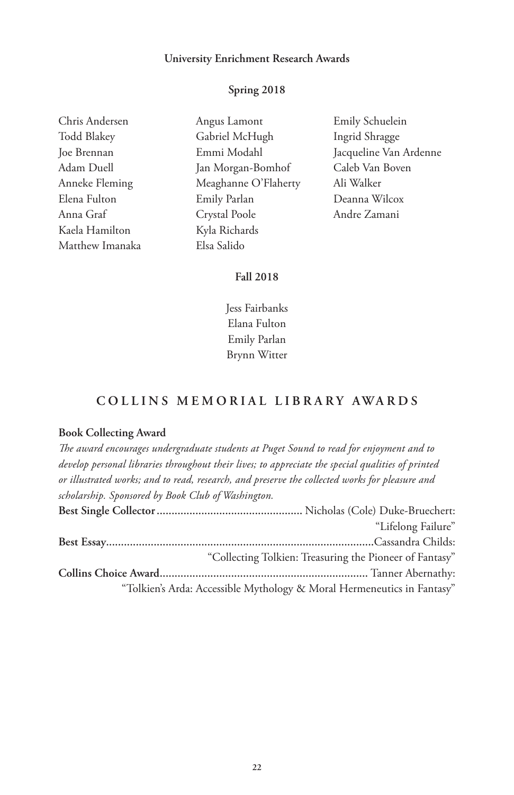#### **University Enrichment Research Awards**

#### **Spring 2018**

| Chris Andersen     |
|--------------------|
| <b>Todd Blakey</b> |
| Joe Brennan        |
| Adam Duell         |
| Anneke Fleming     |
| Elena Fulton       |
| Anna Graf          |
| Kaela Hamilton     |
| Matthew Imanaka    |

Angus Lamont Gabriel McHugh Emmi Modahl Jan Morgan-Bomhof Meaghanne O'Flaherty Emily Parlan Crystal Poole Kyla Richards Elsa Salido

Emily Schuelein Ingrid Shragge Jacqueline Van Ardenne Caleb Van Boven Ali Walker Deanna Wilcox Andre Zamani

# **Fall 2018**

Jess Fairbanks Elana Fulton Emily Parlan Brynn Witter

## **COLLINS MEMORIAL LIBRARY AWARDS**

#### **Book Collecting Award**

*The award encourages undergraduate students at Puget Sound to read for enjoyment and to develop personal libraries throughout their lives; to appreciate the special qualities of printed or illustrated works; and to read, research, and preserve the collected works for pleasure and scholarship. Sponsored by Book Club of Washington.* **Best Single Collector.................................................** Nicholas (Cole) Duke-Bruechert: "Lifelong Failure" **Best Essay..........................................................................................**Cassandra Childs: "Collecting Tolkien: Treasuring the Pioneer of Fantasy" **Collins Choice Award......................................................................** Tanner Abernathy: "Tolkien's Arda: Accessible Mythology & Moral Hermeneutics in Fantasy"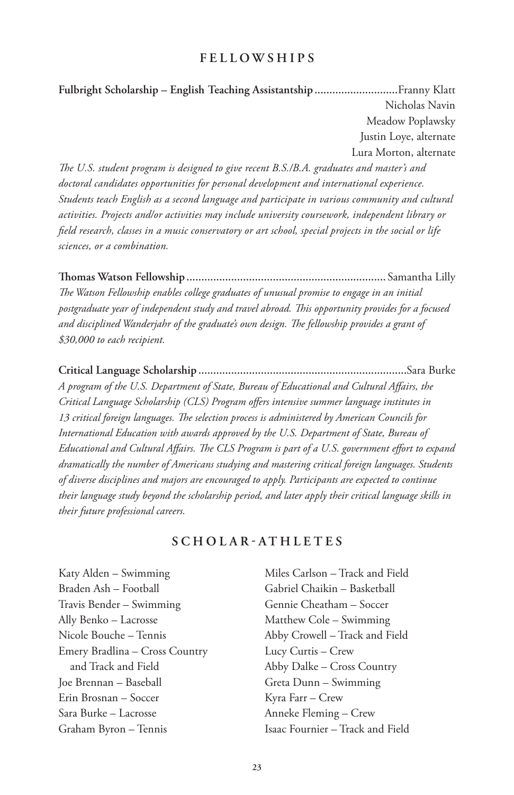# **FELLOWSHIPS**

**Fulbright Scholarship – English Teaching Assistantship............................**Franny Klatt Nicholas Navin Meadow Poplawsky Justin Loye, alternate Lura Morton, alternate

*The U.S. student program is designed to give recent B.S./B.A. graduates and master's and doctoral candidates opportunities for personal development and international experience. Students teach English as a second language and participate in various community and cultural activities. Projects and/or activities may include university coursework, independent library or field research, classes in a music conservatory or art school, special projects in the social or life sciences, or a combination.*

**Thomas Watson Fellowship ...................................................................** Samantha Lilly *The Watson Fellowship enables college graduates of unusual promise to engage in an initial postgraduate year of independent study and travel abroad. This opportunity provides for a focused and disciplined Wanderjahr of the graduate's own design. The fellowship provides a grant of \$30,000 to each recipient.*

**Critical Language Scholarship ......................................................................**Sara Burke *A program of the U.S. Department of State, Bureau of Educational and Cultural Affairs, the Critical Language Scholarship (CLS) Program offers intensive summer language institutes in 13 critical foreign languages. The selection process is administered by American Councils for International Education with awards approved by the U.S. Department of State, Bureau of Educational and Cultural Affairs. The CLS Program is part of a U.S. government effort to expand dramatically the number of Americans studying and mastering critical foreign languages. Students of diverse disciplines and majors are encouraged to apply. Participants are expected to continue their language study beyond the scholarship period, and later apply their critical language skills in their future professional careers.*

# **SCHOLAR-ATHLETES**

Katy Alden – Swimming Braden Ash – Football Travis Bender – Swimming Ally Benko – Lacrosse Nicole Bouche – Tennis Emery Bradlina – Cross Country and Track and Field Joe Brennan – Baseball Erin Brosnan – Soccer Sara Burke – Lacrosse Graham Byron – Tennis

Miles Carlson – Track and Field Gabriel Chaikin – Basketball Gennie Cheatham – Soccer Matthew Cole – Swimming Abby Crowell – Track and Field Lucy Curtis – Crew Abby Dalke – Cross Country Greta Dunn – Swimming Kyra Farr – Crew Anneke Fleming – Crew Isaac Fournier – Track and Field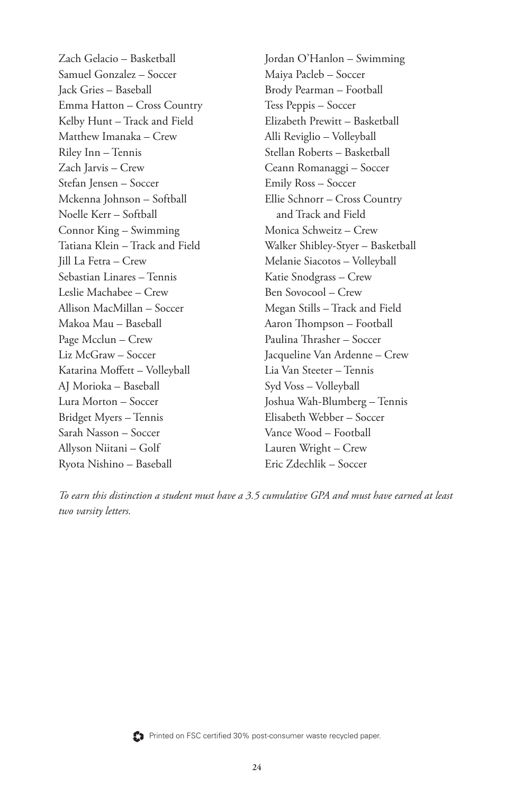Zach Gelacio – Basketball Samuel Gonzalez – Soccer Jack Gries – Baseball Emma Hatton – Cross Country Kelby Hunt – Track and Field Matthew Imanaka – Crew Riley Inn – Tennis Zach Jarvis – Crew Stefan Jensen – Soccer Mckenna Johnson – Softball Noelle Kerr – Softball Connor King – Swimming Tatiana Klein – Track and Field Jill La Fetra – Crew Sebastian Linares – Tennis Leslie Machabee – Crew Allison MacMillan – Soccer Makoa Mau – Baseball Page Mcclun – Crew Liz McGraw – Soccer Katarina Moffett – Volleyball AJ Morioka – Baseball Lura Morton – Soccer Bridget Myers – Tennis Sarah Nasson – Soccer Allyson Niitani – Golf Ryota Nishino – Baseball

Jordan O'Hanlon – Swimming Maiya Pacleb – Soccer Brody Pearman – Football Tess Peppis – Soccer Elizabeth Prewitt – Basketball Alli Reviglio – Volleyball Stellan Roberts – Basketball Ceann Romanaggi – Soccer Emily Ross – Soccer Ellie Schnorr – Cross Country and Track and Field Monica Schweitz – Crew Walker Shibley-Styer – Basketball Melanie Siacotos – Volleyball Katie Snodgrass – Crew Ben Sovocool – Crew Megan Stills – Track and Field Aaron Thompson – Football Paulina Thrasher – Soccer Jacqueline Van Ardenne – Crew Lia Van Steeter – Tennis Syd Voss – Volleyball Joshua Wah-Blumberg – Tennis Elisabeth Webber – Soccer Vance Wood – Football Lauren Wright – Crew Eric Zdechlik – Soccer

*To earn this distinction a student must have a 3.5 cumulative GPA and must have earned at least two varsity letters.*



Printed on FSC certified 30% post-consumer waste recycled paper.